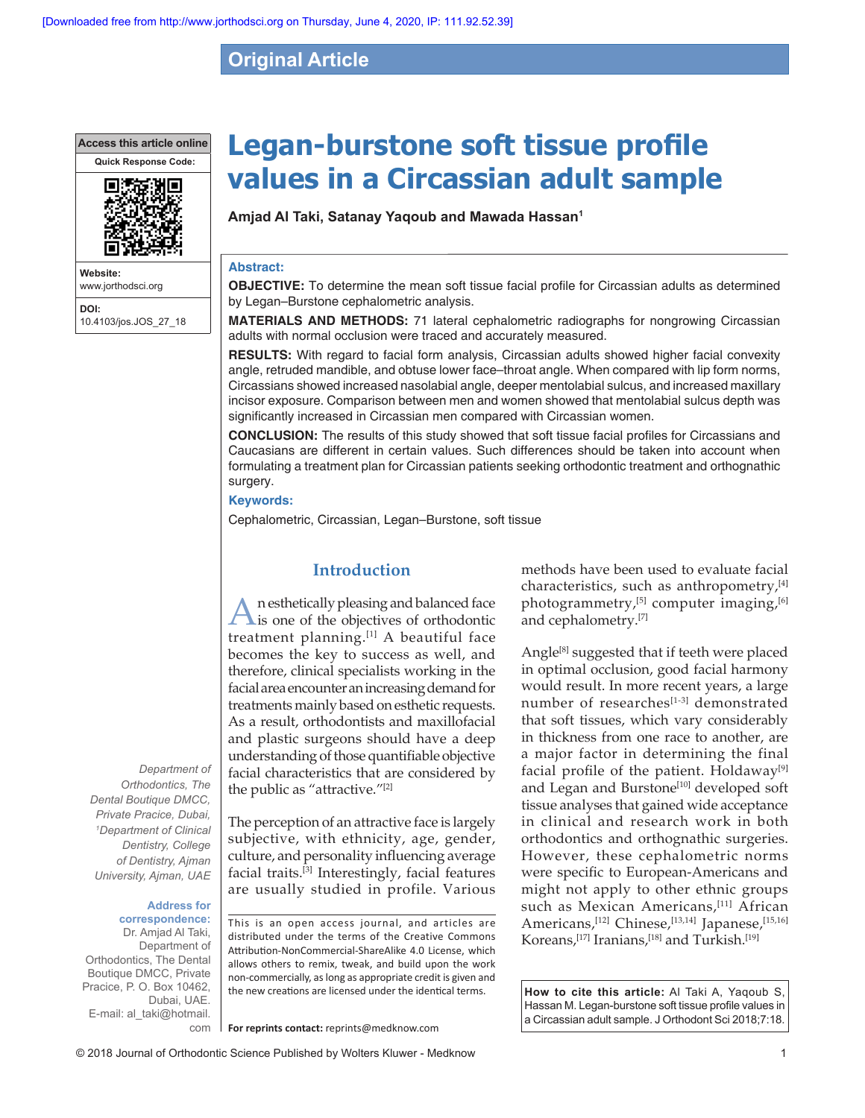## **Original Article**

**Access this article online**



**Website:** www.jorthodsci.org **DOI:** 10.4103/jos.JOS\_27\_18

# **Legan‑burstone soft tissue profile values in a Circassian adult sample**

**Amjad Al Taki, Satanay Yaqoub and Mawada Hassan1**

#### **Abstract:**

**OBJECTIVE:** To determine the mean soft tissue facial profile for Circassian adults as determined by Legan–Burstone cephalometric analysis.

**MATERIALS AND METHODS:** 71 lateral cephalometric radiographs for nongrowing Circassian adults with normal occlusion were traced and accurately measured.

**RESULTS:** With regard to facial form analysis, Circassian adults showed higher facial convexity angle, retruded mandible, and obtuse lower face–throat angle. When compared with lip form norms, Circassians showed increased nasolabial angle, deeper mentolabial sulcus, and increased maxillary incisor exposure. Comparison between men and women showed that mentolabial sulcus depth was significantly increased in Circassian men compared with Circassian women.

**CONCLUSION:** The results of this study showed that soft tissue facial profiles for Circassians and Caucasians are different in certain values. Such differences should be taken into account when formulating a treatment plan for Circassian patients seeking orthodontic treatment and orthognathic surgery.

#### **Keywords:**

Cephalometric, Circassian, Legan–Burstone, soft tissue

## **Introduction**

An esthetically pleasing and balanced face is one of the objectives of orthodontic treatment planning.[1] A beautiful face becomes the key to success as well, and therefore, clinical specialists working in the facial area encounter an increasing demand for treatments mainly based on esthetic requests. As a result, orthodontists and maxillofacial and plastic surgeons should have a deep understanding of those quantifiable objective facial characteristics that are considered by the public as "attractive."[2]

The perception of an attractive face is largely subjective, with ethnicity, age, gender, culture, and personality influencing average facial traits.[3] Interestingly, facial features are usually studied in profile. Various

**Address for correspondence:**  Dr. Amjad Al Taki, Department of

*Department of Orthodontics, The Dental Boutique DMCC, Private Pracice, Dubai, 1 Department of Clinical Dentistry, College of Dentistry, Ajman University, Ajman, UAE*

Orthodontics, The Dental Boutique DMCC, Private Pracice, P. O. Box 10462, Dubai, UAE. E-mail: al\_taki@hotmail. com This is an open access journal, and articles are distributed under the terms of the Creative Commons Attribution‑NonCommercial‑ShareAlike 4.0 License, which allows others to remix, tweak, and build upon the work non‑commercially, as long as appropriate credit is given and the new creations are licensed under the identical terms.

**For reprints contact:** reprints@medknow.com

methods have been used to evaluate facial characteristics, such as anthropometry,<sup>[4]</sup> photogrammetry,<sup>[5]</sup> computer imaging,<sup>[6]</sup> and cephalometry.[7]

Angle<sup>[8]</sup> suggested that if teeth were placed in optimal occlusion, good facial harmony would result. In more recent years, a large number of researches[1-3] demonstrated that soft tissues, which vary considerably in thickness from one race to another, are a major factor in determining the final facial profile of the patient. Holdaway $[9]$ and Legan and Burstone<sup>[10]</sup> developed soft tissue analyses that gained wide acceptance in clinical and research work in both orthodontics and orthognathic surgeries. However, these cephalometric norms were specific to European‑Americans and might not apply to other ethnic groups such as Mexican Americans,<sup>[11]</sup> African Americans,<sup>[12]</sup> Chinese,<sup>[13,14]</sup> Japanese,<sup>[15,16]</sup> Koreans,<sup>[17]</sup> Iranians,<sup>[18]</sup> and Turkish.<sup>[19]</sup>

**How to cite this article:** Al Taki A, Yaqoub S, Hassan M. Legan-burstone soft tissue profile values in a Circassian adult sample. J Orthodont Sci 2018;7:18.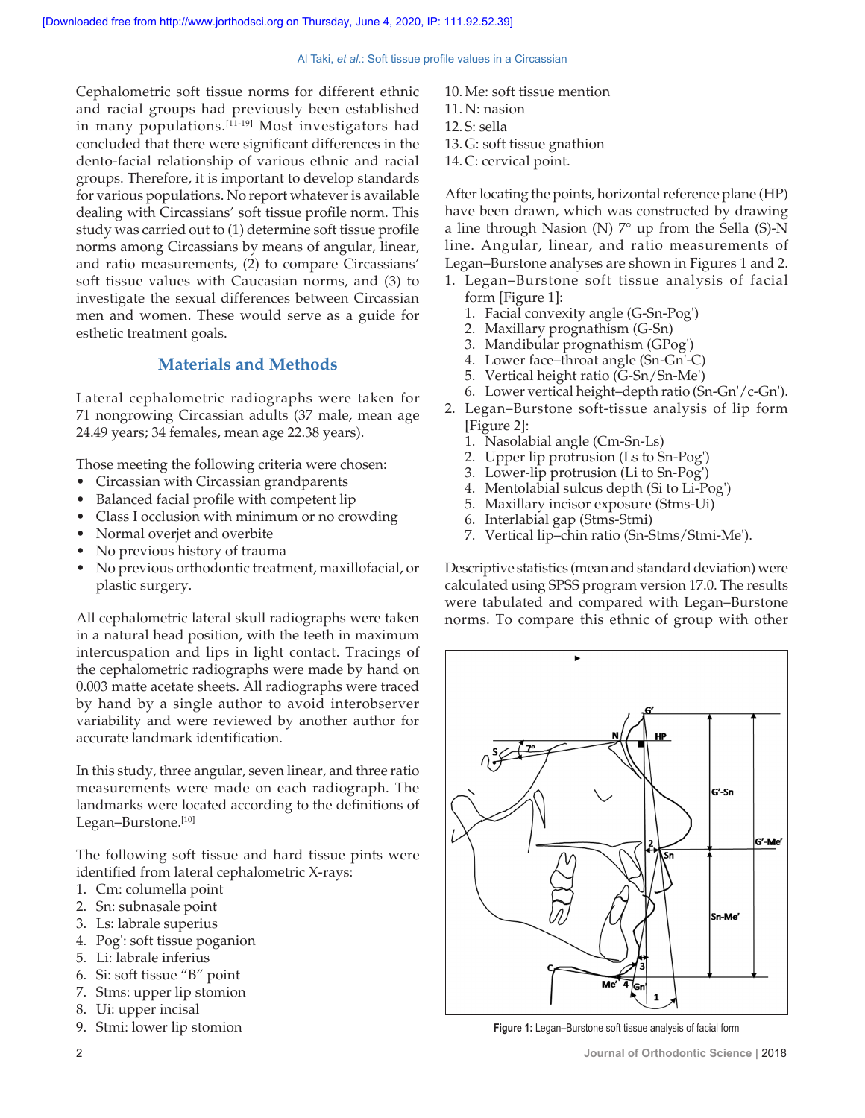Cephalometric soft tissue norms for different ethnic and racial groups had previously been established in many populations.<sup>[11-19]</sup> Most investigators had concluded that there were significant differences in the dento-facial relationship of various ethnic and racial groups. Therefore, it is important to develop standards for various populations. No report whatever is available dealing with Circassians' soft tissue profile norm. This study was carried out to (1) determine soft tissue profile norms among Circassians by means of angular, linear, and ratio measurements, (2) to compare Circassians' soft tissue values with Caucasian norms, and (3) to investigate the sexual differences between Circassian men and women. These would serve as a guide for esthetic treatment goals.

## **Materials and Methods**

Lateral cephalometric radiographs were taken for 71 nongrowing Circassian adults (37 male, mean age 24.49 years; 34 females, mean age 22.38 years).

Those meeting the following criteria were chosen:

- Circassian with Circassian grandparents
- Balanced facial profile with competent lip
- Class I occlusion with minimum or no crowding
- Normal overjet and overbite
- No previous history of trauma
- No previous orthodontic treatment, maxillofacial, or plastic surgery.

All cephalometric lateral skull radiographs were taken in a natural head position, with the teeth in maximum intercuspation and lips in light contact. Tracings of the cephalometric radiographs were made by hand on 0.003 matte acetate sheets. All radiographs were traced by hand by a single author to avoid interobserver variability and were reviewed by another author for accurate landmark identification.

In this study, three angular, seven linear, and three ratio measurements were made on each radiograph. The landmarks were located according to the definitions of Legan–Burstone.[10]

The following soft tissue and hard tissue pints were identified from lateral cephalometric X-rays:

- 1. Cm: columella point
- 2. Sn: subnasale point
- 3. Ls: labrale superius
- 4. Pog': soft tissue poganion
- 5. Li: labrale inferius
- 6. Si: soft tissue "B" point
- 7. Stms: upper lip stomion
- 8. Ui: upper incisal
- 9. Stmi: lower lip stomion
- 10. Me: soft tissue mention 11. N: nasion 12. S: sella
- 13. G: soft tissue gnathion
- 14. C: cervical point.

After locating the points, horizontal reference plane (HP) have been drawn, which was constructed by drawing a line through Nasion (N)  $7^\circ$  up from the Sella (S)-N line. Angular, linear, and ratio measurements of Legan–Burstone analyses are shown in Figures 1 and 2.

- 1. Legan–Burstone soft tissue analysis of facial form [Figure 1]:
	- 1. Facial convexity angle (G‑Sn‑Pog')
	- 2. Maxillary prognathism (G‑Sn)
	- 3. Mandibular prognathism (GPog')
	- 4. Lower face–throat angle (Sn‑Gn'‑C)
	- 5. Vertical height ratio (G‑Sn/Sn‑Me')
	- 6. Lower vertical height–depth ratio (Sn‑Gn'/c‑Gn').
- 2. Legan–Burstone soft-tissue analysis of lip form
	- [Figure 2]:
	- 1. Nasolabial angle (Cm‑Sn‑Ls)
	- 2. Upper lip protrusion (Ls to Sn‑Pog')
	- 3. Lower‑lip protrusion (Li to Sn‑Pog')
	- 4. Mentolabial sulcus depth (Si to Li‑Pog')
	- 5. Maxillary incisor exposure (Stms‑Ui)
	- 6. Interlabial gap (Stms‑Stmi)
	- 7. Vertical lip–chin ratio (Sn‑Stms/Stmi‑Me').

Descriptive statistics (mean and standard deviation) were calculated using SPSS program version 17.0. The results were tabulated and compared with Legan–Burstone norms. To compare this ethnic of group with other



**Figure 1:** Legan–Burstone soft tissue analysis of facial form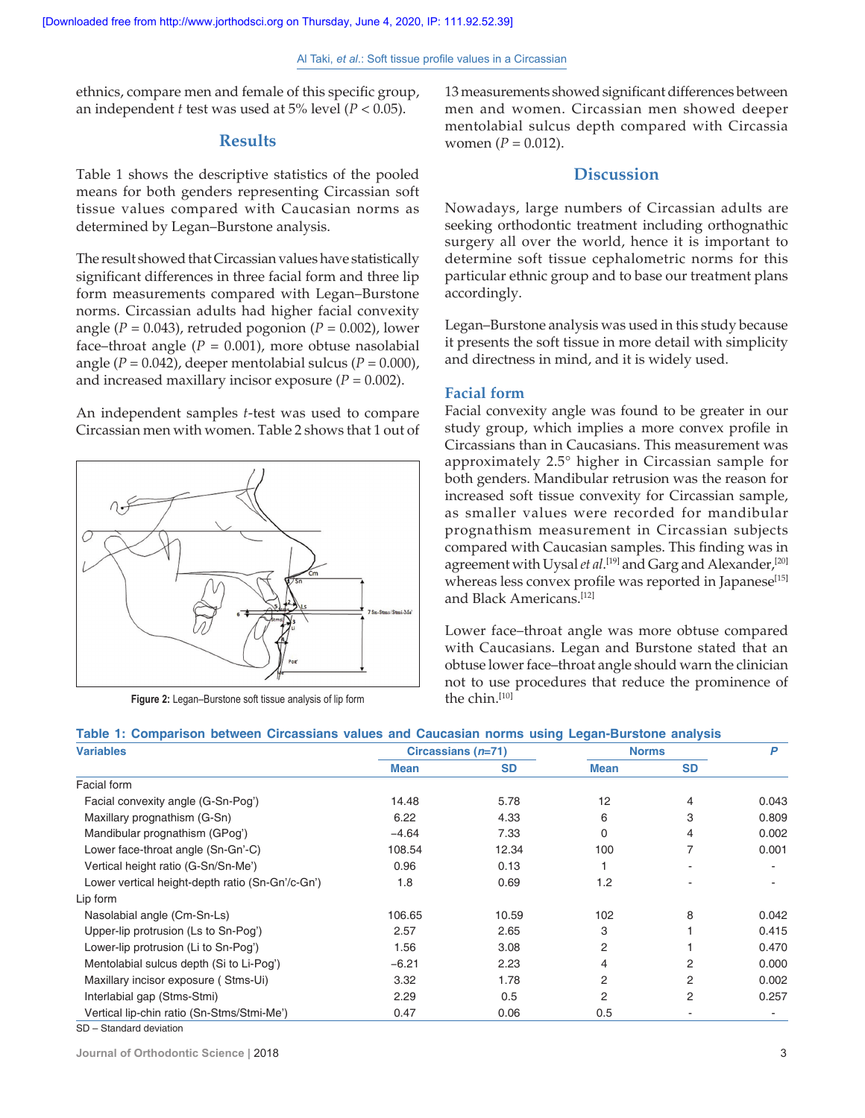ethnics, compare men and female of this specific group, an independent *t* test was used at 5% level (*P* < 0.05).

#### **Results**

Table 1 shows the descriptive statistics of the pooled means for both genders representing Circassian soft tissue values compared with Caucasian norms as determined by Legan–Burstone analysis.

The result showed that Circassian values have statistically significant differences in three facial form and three lip form measurements compared with Legan–Burstone norms. Circassian adults had higher facial convexity angle  $(P = 0.043)$ , retruded pogonion  $(P = 0.002)$ , lower face–throat angle  $(P = 0.001)$ , more obtuse nasolabial angle  $(P = 0.042)$ , deeper mentolabial sulcus  $(P = 0.000)$ , and increased maxillary incisor exposure  $(P = 0.002)$ .

An independent samples *t*-test was used to compare Circassian men with women. Table 2 shows that 1 out of



**Figure 2:** Legan–Burstone soft tissue analysis of lip form

13 measurements showed significant differences between men and women. Circassian men showed deeper mentolabial sulcus depth compared with Circassia women  $(P = 0.012)$ .

## **Discussion**

Nowadays, large numbers of Circassian adults are seeking orthodontic treatment including orthognathic surgery all over the world, hence it is important to determine soft tissue cephalometric norms for this particular ethnic group and to base our treatment plans accordingly.

Legan–Burstone analysis was used in this study because it presents the soft tissue in more detail with simplicity and directness in mind, and it is widely used.

### **Facial form**

Facial convexity angle was found to be greater in our study group, which implies a more convex profile in Circassians than in Caucasians. This measurement was approximately 2.5° higher in Circassian sample for both genders. Mandibular retrusion was the reason for increased soft tissue convexity for Circassian sample, as smaller values were recorded for mandibular prognathism measurement in Circassian subjects compared with Caucasian samples. This finding was in agreement with Uysal *et al*. [19] and Garg and Alexander,[20] whereas less convex profile was reported in Japanese<sup>[15]</sup> and Black Americans.[12]

Lower face–throat angle was more obtuse compared with Caucasians. Legan and Burstone stated that an obtuse lower face–throat angle should warn the clinician not to use procedures that reduce the prominence of the chin.<sup>[10]</sup>

#### **Table 1: Comparison between Circassians values and Caucasian norms using Legan‑Burstone analysis**

| <b>Variables</b>                                 | Circassians $(n=71)$ |           | <b>Norms</b> |           | P     |
|--------------------------------------------------|----------------------|-----------|--------------|-----------|-------|
|                                                  | <b>Mean</b>          | <b>SD</b> | <b>Mean</b>  | <b>SD</b> |       |
| Facial form                                      |                      |           |              |           |       |
| Facial convexity angle (G-Sn-Pog')               | 14.48                | 5.78      | 12           | 4         | 0.043 |
| Maxillary prognathism (G-Sn)                     | 6.22                 | 4.33      | 6            | 3         | 0.809 |
| Mandibular prognathism (GPog')                   | $-4.64$              | 7.33      | 0            | 4         | 0.002 |
| Lower face-throat angle (Sn-Gn'-C)               | 108.54               | 12.34     | 100          | 7         | 0.001 |
| Vertical height ratio (G-Sn/Sn-Me')              | 0.96                 | 0.13      |              |           |       |
| Lower vertical height-depth ratio (Sn-Gn'/c-Gn') | 1.8                  | 0.69      | 1.2          |           |       |
| Lip form                                         |                      |           |              |           |       |
| Nasolabial angle (Cm-Sn-Ls)                      | 106.65               | 10.59     | 102          | 8         | 0.042 |
| Upper-lip protrusion (Ls to Sn-Pog')             | 2.57                 | 2.65      | 3            |           | 0.415 |
| Lower-lip protrusion (Li to Sn-Pog')             | 1.56                 | 3.08      | 2            |           | 0.470 |
| Mentolabial sulcus depth (Si to Li-Pog')         | $-6.21$              | 2.23      | 4            | 2         | 0.000 |
| Maxillary incisor exposure (Stms-Ui)             | 3.32                 | 1.78      | 2            | 2         | 0.002 |
| Interlabial gap (Stms-Stmi)                      | 2.29                 | 0.5       | 2            | 2         | 0.257 |
| Vertical lip-chin ratio (Sn-Stms/Stmi-Me')       | 0.47                 | 0.06      | 0.5          |           |       |

SD – Standard deviation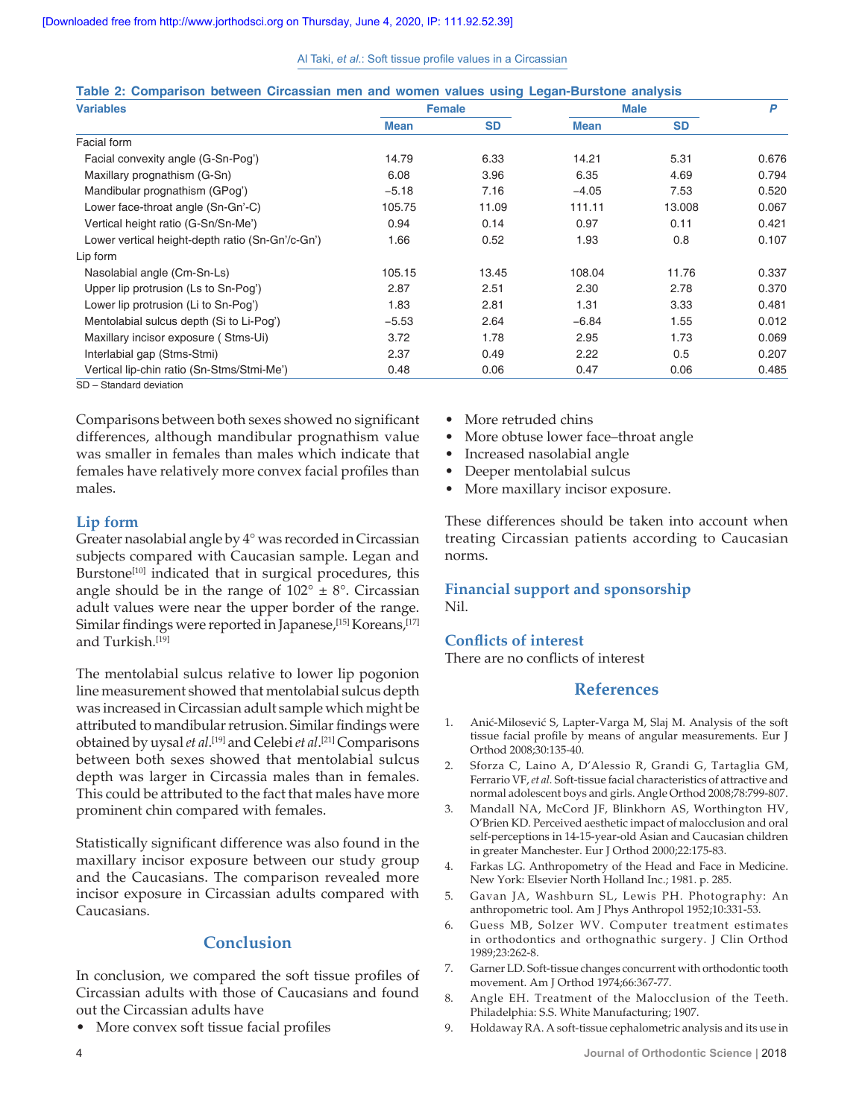#### Al Taki, *et al*.: Soft tissue profile values in a Circassian

| <b>Variables</b>                                 | <b>Female</b> |           | <b>Male</b> |           | P     |
|--------------------------------------------------|---------------|-----------|-------------|-----------|-------|
|                                                  | <b>Mean</b>   | <b>SD</b> | Mean        | <b>SD</b> |       |
| Facial form                                      |               |           |             |           |       |
| Facial convexity angle (G-Sn-Pog')               | 14.79         | 6.33      | 14.21       | 5.31      | 0.676 |
| Maxillary prognathism (G-Sn)                     | 6.08          | 3.96      | 6.35        | 4.69      | 0.794 |
| Mandibular prognathism (GPog')                   | $-5.18$       | 7.16      | $-4.05$     | 7.53      | 0.520 |
| Lower face-throat angle (Sn-Gn'-C)               | 105.75        | 11.09     | 111.11      | 13.008    | 0.067 |
| Vertical height ratio (G-Sn/Sn-Me')              | 0.94          | 0.14      | 0.97        | 0.11      | 0.421 |
| Lower vertical height-depth ratio (Sn-Gn'/c-Gn') | 1.66          | 0.52      | 1.93        | 0.8       | 0.107 |
| Lip form                                         |               |           |             |           |       |
| Nasolabial angle (Cm-Sn-Ls)                      | 105.15        | 13.45     | 108.04      | 11.76     | 0.337 |
| Upper lip protrusion (Ls to Sn-Pog')             | 2.87          | 2.51      | 2.30        | 2.78      | 0.370 |
| Lower lip protrusion (Li to Sn-Pog')             | 1.83          | 2.81      | 1.31        | 3.33      | 0.481 |
| Mentolabial sulcus depth (Si to Li-Pog')         | $-5.53$       | 2.64      | $-6.84$     | 1.55      | 0.012 |
| Maxillary incisor exposure (Stms-Ui)             | 3.72          | 1.78      | 2.95        | 1.73      | 0.069 |
| Interlabial gap (Stms-Stmi)                      | 2.37          | 0.49      | 2.22        | 0.5       | 0.207 |
| Vertical lip-chin ratio (Sn-Stms/Stmi-Me')       | 0.48          | 0.06      | 0.47        | 0.06      | 0.485 |

#### **Table 2: Comparison between Circassian men and women values using Legan‑Burstone analysis**

SD – Standard deviation

Comparisons between both sexes showed no significant differences, although mandibular prognathism value was smaller in females than males which indicate that females have relatively more convex facial profiles than males.

## **Lip form**

Greater nasolabial angle by 4° was recorded in Circassian subjects compared with Caucasian sample. Legan and Burstone<sup>[10]</sup> indicated that in surgical procedures, this angle should be in the range of  $102^{\circ} \pm 8^{\circ}$ . Circassian adult values were near the upper border of the range. Similar findings were reported in Japanese,<sup>[15]</sup> Koreans,<sup>[17]</sup> and Turkish.[19]

The mentolabial sulcus relative to lower lip pogonion line measurement showed that mentolabial sulcus depth was increased in Circassian adult sample which might be attributed to mandibular retrusion. Similar findings were obtained by uysal *et al*. [19] and Celebi *et al*. [21] Comparisons between both sexes showed that mentolabial sulcus depth was larger in Circassia males than in females. This could be attributed to the fact that males have more prominent chin compared with females.

Statistically significant difference was also found in the maxillary incisor exposure between our study group and the Caucasians. The comparison revealed more incisor exposure in Circassian adults compared with Caucasians.

## **Conclusion**

In conclusion, we compared the soft tissue profiles of Circassian adults with those of Caucasians and found out the Circassian adults have

• More convex soft tissue facial profiles

- More retruded chins
- More obtuse lower face–throat angle
- Increased nasolabial angle
- Deeper mentolabial sulcus
- More maxillary incisor exposure.

These differences should be taken into account when treating Circassian patients according to Caucasian norms.

## **Financial support and sponsorship** Nil.

## **Conflicts of interest**

There are no conflicts of interest

## **References**

- 1. Anić‑Milosević S, Lapter‑Varga M, Slaj M. Analysis of the soft tissue facial profile by means of angular measurements. Eur J Orthod 2008;30:135‑40.
- 2. Sforza C, Laino A, D'Alessio R, Grandi G, Tartaglia GM, Ferrario VF, et al. Soft-tissue facial characteristics of attractive and normal adolescent boys and girls. Angle Orthod 2008;78:799‑807.
- 3. Mandall NA, McCord JF, Blinkhorn AS, Worthington HV, O'Brien KD. Perceived aesthetic impact of malocclusion and oral self-perceptions in 14-15-year-old Asian and Caucasian children in greater Manchester. Eur J Orthod 2000;22:175‑83.
- 4. Farkas LG. Anthropometry of the Head and Face in Medicine. New York: Elsevier North Holland Inc.; 1981. p. 285.
- 5. Gavan JA, Washburn SL, Lewis PH. Photography: An anthropometric tool. Am J Phys Anthropol 1952;10:331‑53.
- 6. Guess MB, Solzer WV. Computer treatment estimates in orthodontics and orthognathic surgery. J Clin Orthod 1989;23:262‑8.
- 7. Garner LD. Soft-tissue changes concurrent with orthodontic tooth movement. Am J Orthod 1974;66:367‑77.
- 8. Angle EH. Treatment of the Malocclusion of the Teeth. Philadelphia: S.S. White Manufacturing; 1907.
- 9. Holdaway RA. A soft-tissue cephalometric analysis and its use in